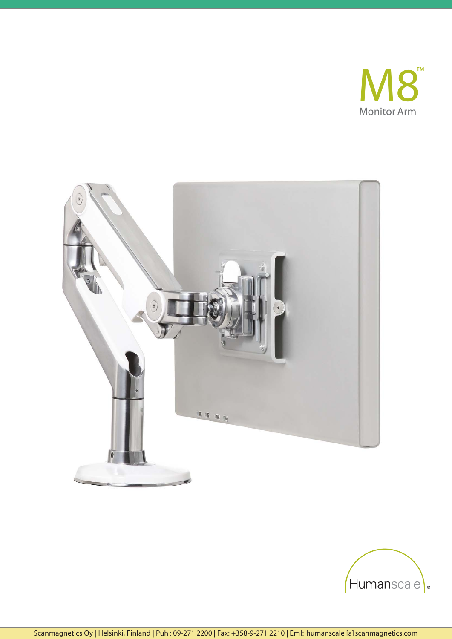



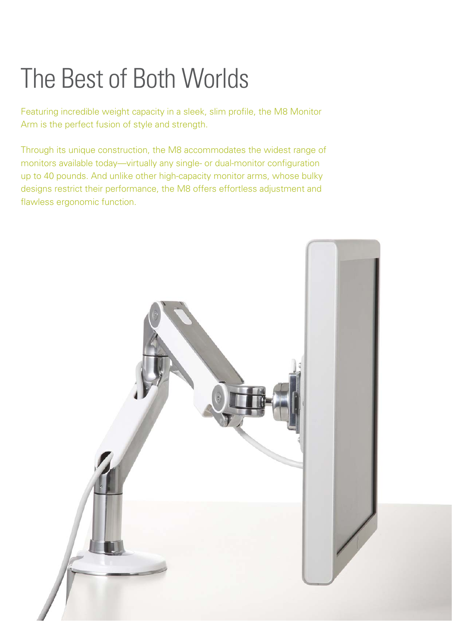# The Best of Both Worlds

Featuring incredible weight capacity in a sleek, slim profile, the M8 Monitor Arm is the perfect fusion of style and strength.

Through its unique construction, the M8 accommodates the widest range of monitors available today—virtually any single- or dual-monitor configuration up to 40 pounds. And unlike other high-capacity monitor arms, whose bulky designs restrict their performance, the M8 offers effortless adjustment and flawless ergonomic function.

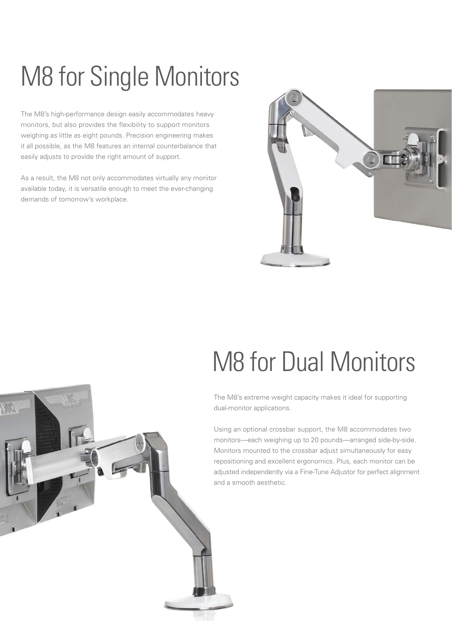# M8 for Single Monitors

The M8's high-performance design easily accommodates heavy monitors, but also provides the flexibility to support monitors weighing as little as eight pounds. Precision engineering makes it all possible, as the M8 features an internal counterbalance that easily adjusts to provide the right amount of support.

As a result, the M8 not only accommodates virtually any monitor available today, it is versatile enough to meet the ever-changing demands of tomorrow's workplace.



### M8 for Dual Monitors

The M8's extreme weight capacity makes it ideal for supporting dual-monitor applications.

Using an optional crossbar support, the M8 accommodates two monitors—each weighing up to 20 pounds—arranged side-by-side. Monitors mounted to the crossbar adjust simultaneously for easy repositioning and excellent ergonomics. Plus, each monitor can be adjusted independently via a Fine-Tune Adjustor for perfect alignment and a smooth aesthetic.

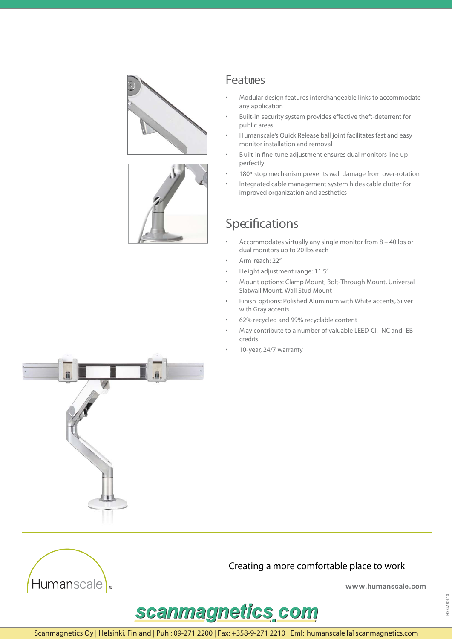



### **Features**

- Modular design features interchangeable links to accommodate any application
- Built-in security system provides effective theft-deterrent for public areas
- Humanscale's Quick Release ball joint facilitates fast and easy monitor installation and removal
- Built-in fine-tune adjustment ensures dual monitors line up perfectly
- 180° stop mechanism prevents wall damage from over-rotation
- Integrated cable management system hides cable clutter for improved organization and aesthetics

### Specifications

- Accommodates virtually any single monitor from 8 40 lbs or dual monitors up to 20 lbs each
- Arm reach: 22"
- Height adjustment range: 11.5"
- Mount options: Clamp Mount, Bolt-Through Mount, Universal Slatwall Mount, Wall Stud Mount
- Finish options: Polished Aluminum with White accents, Silver with Gray accents
- 62% recycled and 99% recyclable content
- May contribute to a number of valuable LEED-CI, -NC and -EB credits
- 10-year, 24/7 warranty





#### Creating a more comfortable place to work

www.humanscale.com



Scanmagnetics Oy | Helsinki, Finland | Puh: 09-271 2200 | Fax: +358-9-271 2210 | Eml: humanscale [a] scanmagnetics.com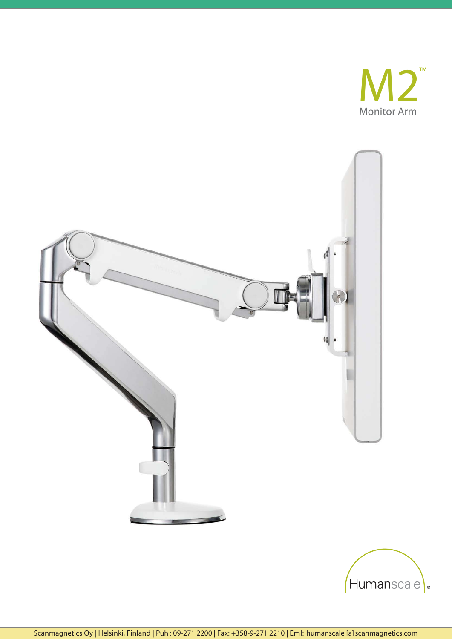



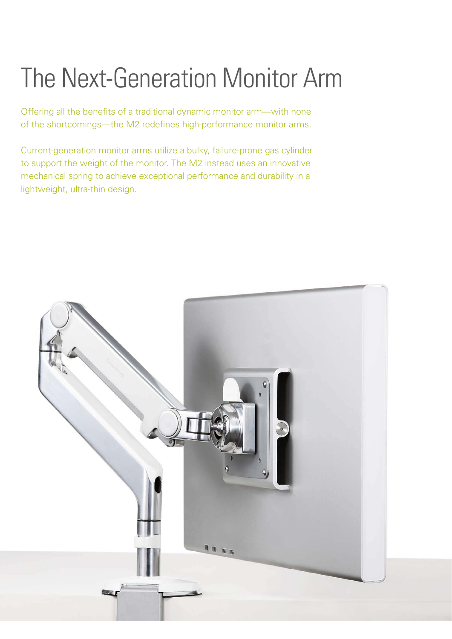# The Next-Generation Monitor Arm

Offering all the benefits of a traditional dynamic monitor arm—with none of the shortcomings—the M2 redefines high-performance monitor arms.

Current-generation monitor arms utilize a bulky, failure-prone gas cylinder to support the weight of the monitor. The M2 instead uses an innovative mechanical spring to achieve exceptional performance and durability in a lightweight, ultra-thin design.

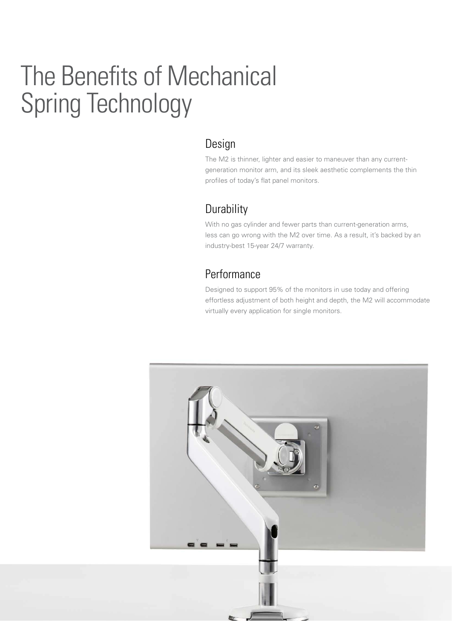## The Benefits of Mechanical Spring Technology

### Design

The M2 is thinner, lighter and easier to maneuver than any currentgeneration monitor arm, and its sleek aesthetic complements the thin profiles of today's flat panel monitors.

### **Durability**

With no gas cylinder and fewer parts than current-generation arms, less can go wrong with the M2 over time. As a result, it's backed by an industry-best 15-year 24/7 warranty.

### Performance

Designed to support 95% of the monitors in use today and offering effortless adjustment of both height and depth, the M2 will accommodate virtually every application for single monitors.

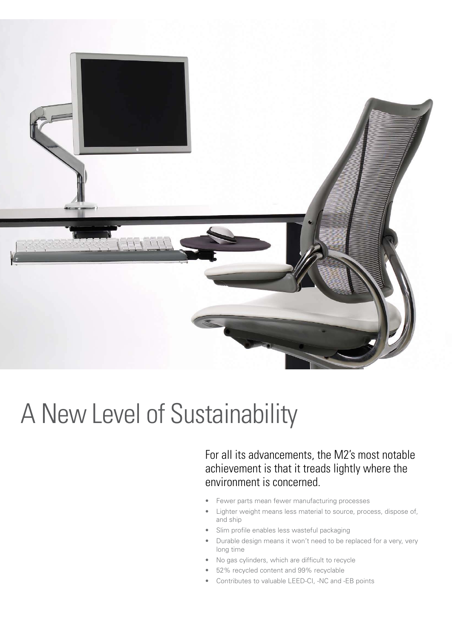

### A New Level of Sustainability

For all its advancements, the M2's most notable achievement is that it treads lightly where the environment is concerned.

- Fewer parts mean fewer manufacturing processes
- Lighter weight means less material to source, process, dispose of, and ship
- Slim profile enables less wasteful packaging
- Durable design means it won't need to be replaced for a very, very long time
- No gas cylinders, which are difficult to recycle
- 52% recycled content and 99% recyclable
- Contributes to valuable LEED-CI, -NC and -EB points